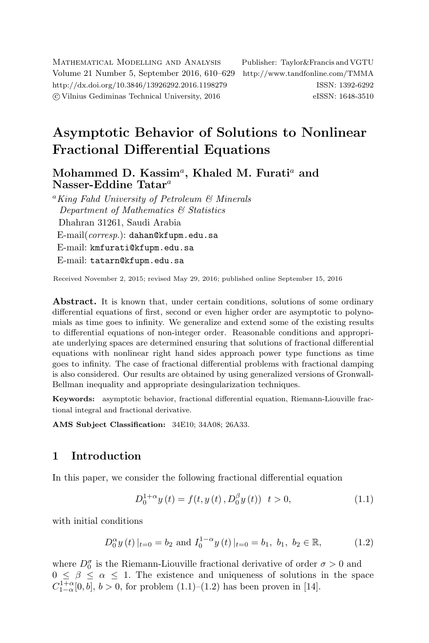Mathematical Modelling and Analysis Publisher: Taylor&Francis and VGTU Volume 21 Number 5, September 2016, 610–629 <http://www.tandfonline.com/TMMA> <http://dx.doi.org/10.3846/13926292.2016.1198279> ISSN: 1392-6292 c Vilnius Gediminas Technical University, 2016 eISSN: 1648-3510

# Asymptotic Behavior of Solutions to Nonlinear Fractional Differential Equations

Mohammed D. Kassim<sup>a</sup>, Khaled M. Furati<sup>a</sup> and Nasser-Eddine Tatar<sup>a</sup>

<sup>a</sup>King Fahd University of Petroleum & Minerals Department of Mathematics & Statistics Dhahran 31261, Saudi Arabia E-mail(*corresp.*): [dahan@kfupm.edu.sa](mailto:dahan@kfupm.edu.sa) E-mail: [kmfurati@kfupm.edu.sa](mailto:kmfurati@kfupm.edu.sa) E-mail: [tatarn@kfupm.edu.sa](mailto:tatarn@kfupm.edu.sa)

Received November 2, 2015; revised May 29, 2016; published online September 15, 2016

Abstract. It is known that, under certain conditions, solutions of some ordinary differential equations of first, second or even higher order are asymptotic to polynomials as time goes to infinity. We generalize and extend some of the existing results to differential equations of non-integer order. Reasonable conditions and appropriate underlying spaces are determined ensuring that solutions of fractional differential equations with nonlinear right hand sides approach power type functions as time goes to infinity. The case of fractional differential problems with fractional damping is also considered. Our results are obtained by using generalized versions of Gronwall-Bellman inequality and appropriate desingularization techniques.

Keywords: asymptotic behavior, fractional differential equation, Riemann-Liouville fractional integral and fractional derivative.

AMS Subject Classification: 34E10; 34A08; 26A33.

## 1 Introduction

In this paper, we consider the following fractional differential equation

<span id="page-0-1"></span><span id="page-0-0"></span>
$$
D_0^{1+\alpha} y(t) = f(t, y(t), D_0^{\beta} y(t)) \quad t > 0,
$$
\n(1.1)

with initial conditions

$$
D_0^{\alpha} y(t)|_{t=0} = b_2
$$
 and  $I_0^{1-\alpha} y(t)|_{t=0} = b_1, b_1, b_2 \in \mathbb{R},$  (1.2)

where  $D_0^{\sigma}$  is the Riemann-Liouville fractional derivative of order  $\sigma > 0$  and  $0 \leq \beta \leq \alpha \leq 1$ . The existence and uniqueness of solutions in the space  $C_{1-\alpha}^{1+\alpha}[0, b], b > 0$ , for problem  $(1.1)$ – $(1.2)$  has been proven in [\[14\]](#page-18-0).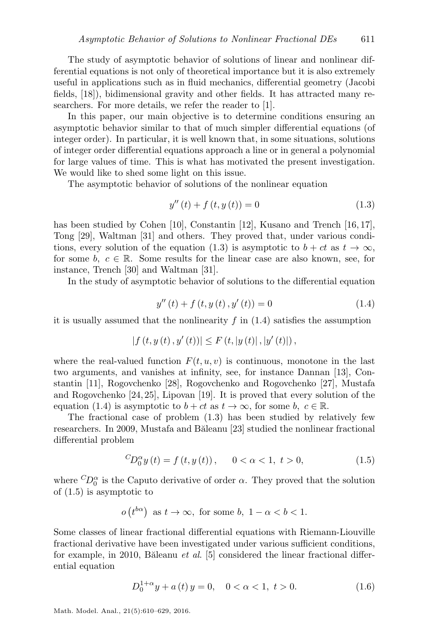The study of asymptotic behavior of solutions of linear and nonlinear differential equations is not only of theoretical importance but it is also extremely useful in applications such as in fluid mechanics, differential geometry (Jacobi fields, [\[18\]](#page-19-0)), bidimensional gravity and other fields. It has attracted many researchers. For more details, we refer the reader to [\[1\]](#page-17-0).

In this paper, our main objective is to determine conditions ensuring an asymptotic behavior similar to that of much simpler differential equations (of integer order). In particular, it is well known that, in some situations, solutions of integer order differential equations approach a line or in general a polynomial for large values of time. This is what has motivated the present investigation. We would like to shed some light on this issue.

The asymptotic behavior of solutions of the nonlinear equation

<span id="page-1-0"></span>
$$
y''(t) + f(t, y(t)) = 0
$$
\n(1.3)

has been studied by Cohen [\[10\]](#page-18-1), Constantin [\[12\]](#page-18-2), Kusano and Trench [\[16,](#page-18-3) [17\]](#page-19-1), Tong [\[29\]](#page-19-2), Waltman [\[31\]](#page-19-3) and others. They proved that, under various condi-tions, every solution of the equation [\(1.3\)](#page-1-0) is asymptotic to  $b + ct$  as  $t \to \infty$ , for some b,  $c \in \mathbb{R}$ . Some results for the linear case are also known, see, for instance, Trench [\[30\]](#page-19-4) and Waltman [\[31\]](#page-19-3).

<span id="page-1-1"></span>In the study of asymptotic behavior of solutions to the differential equation

$$
y''(t) + f(t, y(t), y'(t)) = 0
$$
\n(1.4)

it is usually assumed that the nonlinearity  $f$  in  $(1.4)$  satisfies the assumption

$$
|f(t, y(t), y'(t))| \leq F(t, |y(t)|, |y'(t)|),
$$

where the real-valued function  $F(t, u, v)$  is continuous, monotone in the last two arguments, and vanishes at infinity, see, for instance Dannan [\[13\]](#page-18-4), Constantin [\[11\]](#page-18-5), Rogovchenko [\[28\]](#page-19-5), Rogovchenko and Rogovchenko [\[27\]](#page-19-6), Mustafa and Rogovchenko [\[24,](#page-19-7) [25\]](#page-19-8), Lipovan [\[19\]](#page-19-9). It is proved that every solution of the equation [\(1.4\)](#page-1-1) is asymptotic to  $b + ct$  as  $t \to \infty$ , for some b,  $c \in \mathbb{R}$ .

The fractional case of problem [\(1.3\)](#page-1-0) has been studied by relatively few researchers. In 2009, Mustafa and Băleanu [\[23\]](#page-19-10) studied the nonlinear fractional differential problem

<span id="page-1-2"></span>
$$
{}^{C}D_{0}^{\alpha}y(t) = f(t, y(t)), \quad 0 < \alpha < 1, t > 0,
$$
\n(1.5)

where  ${}^{C}D_0^{\alpha}$  is the Caputo derivative of order  $\alpha$ . They proved that the solution of [\(1.5\)](#page-1-2) is asymptotic to

 $o(t^{b\alpha})$  as  $t \to \infty$ , for some  $b, 1 - \alpha < b < 1$ .

Some classes of linear fractional differential equations with Riemann-Liouville fractional derivative have been investigated under various sufficient conditions, for example, in 2010, Băleanu *et al.* [\[5\]](#page-18-6) considered the linear fractional differential equation

<span id="page-1-3"></span>
$$
D_0^{1+\alpha} y + a(t) y = 0, \quad 0 < \alpha < 1, \ t > 0.
$$
 (1.6)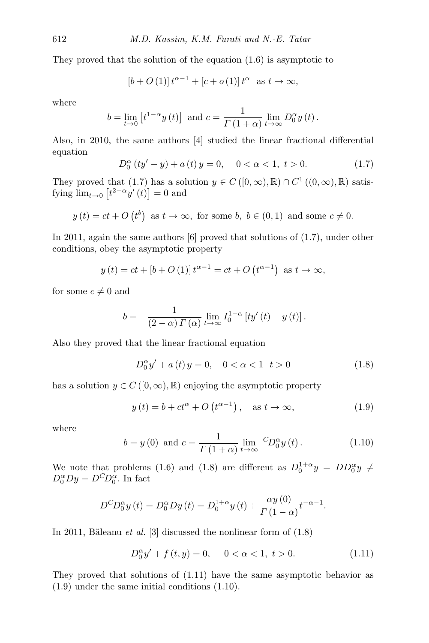They proved that the solution of the equation [\(1.6\)](#page-1-3) is asymptotic to

$$
[b+O(1)]t^{\alpha-1} + [c+o(1)]t^{\alpha} \text{ as } t \to \infty,
$$

where

$$
b = \lim_{t \to 0} \left[ t^{1-\alpha} y(t) \right] \text{ and } c = \frac{1}{\Gamma(1+\alpha)} \lim_{t \to \infty} D_0^{\alpha} y(t).
$$

Also, in 2010, the same authors [\[4\]](#page-18-7) studied the linear fractional differential equation

<span id="page-2-0"></span>
$$
D_0^{\alpha} (ty'-y) + a(t)y = 0, \quad 0 < \alpha < 1, t > 0.
$$
 (1.7)

They proved that [\(1.7\)](#page-2-0) has a solution  $y \in C([0,\infty),\mathbb{R}) \cap C^1((0,\infty),\mathbb{R})$  satisfying  $\lim_{t\to 0} [t^{2-\alpha}y'(t)] = 0$  and

$$
y(t) = ct + O(t^b)
$$
 as  $t \to \infty$ , for some  $b, b \in (0, 1)$  and some  $c \neq 0$ .

In 2011, again the same authors [\[6\]](#page-18-8) proved that solutions of [\(1.7\)](#page-2-0), under other conditions, obey the asymptotic property

$$
y(t) = ct + [b + O(1)]t^{\alpha - 1} = ct + O(t^{\alpha - 1})
$$
 as  $t \to \infty$ ,

for some  $c \neq 0$  and

$$
b = -\frac{1}{(2-\alpha)\,\Gamma\left(\alpha\right)}\lim_{t\to\infty} I_0^{1-\alpha}\left[ty'\left(t\right)-y\left(t\right)\right].
$$

Also they proved that the linear fractional equation

<span id="page-2-3"></span><span id="page-2-1"></span>
$$
D_0^{\alpha} y' + a(t) y = 0, \quad 0 < \alpha < 1 \quad t > 0
$$
 (1.8)

has a solution  $y \in C([0,\infty),\mathbb{R})$  enjoying the asymptotic property

$$
y(t) = b + ct^{\alpha} + O(t^{\alpha - 1}), \quad \text{as } t \to \infty,
$$
 (1.9)

<span id="page-2-4"></span>where

$$
b = y(0)
$$
 and  $c = \frac{1}{\Gamma(1+\alpha)} \lim_{t \to \infty} {}^{C}\!D_0^{\alpha}y(t)$ . (1.10)

We note that problems [\(1.6\)](#page-1-3) and [\(1.8\)](#page-2-1) are different as  $D_0^{1+\alpha}y = DD_0^{\alpha}y \neq$  $D_0^{\alpha}Dy = D^C D_0^{\alpha}$ . In fact

$$
D^{C}D_{0}^{\alpha}y(t) = D_{0}^{\alpha}Dy(t) = D_{0}^{1+\alpha}y(t) + \frac{\alpha y(0)}{\Gamma(1-\alpha)}t^{-\alpha-1}.
$$

In 2011, Băleanu et al. [\[3\]](#page-18-9) discussed the nonlinear form of  $(1.8)$ 

<span id="page-2-2"></span>
$$
D_0^{\alpha} y' + f(t, y) = 0, \quad 0 < \alpha < 1, \ t > 0.
$$
 (1.11)

They proved that solutions of [\(1.11\)](#page-2-2) have the same asymptotic behavior as [\(1.9\)](#page-2-3) under the same initial conditions [\(1.10\)](#page-2-4).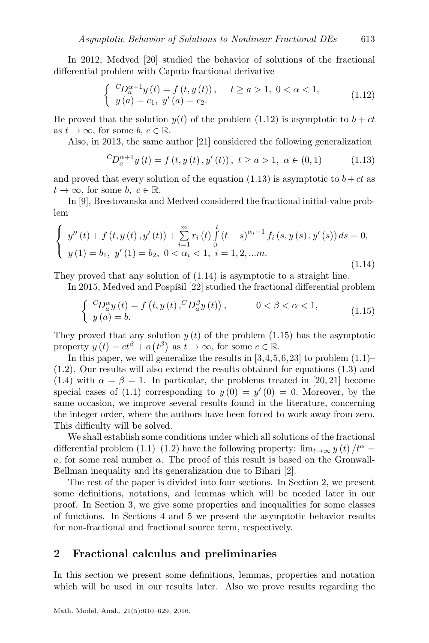In 2012, Medved [\[20\]](#page-19-11) studied the behavior of solutions of the fractional differential problem with Caputo fractional derivative

<span id="page-3-0"></span>
$$
\begin{cases} {}^{C}D_{a}^{\alpha+1}y(t) = f(t, y(t)), \quad t \ge a > 1, \ 0 < \alpha < 1, \\ y(a) = c_1, \ y'(a) = c_2. \end{cases}
$$
\n(1.12)

He proved that the solution  $y(t)$  of the problem [\(1.12\)](#page-3-0) is asymptotic to  $b + ct$ as  $t \to \infty$ , for some b,  $c \in \mathbb{R}$ .

Also, in 2013, the same author [\[21\]](#page-19-12) considered the following generalization

<span id="page-3-1"></span>
$$
{}^{C}D_{a}^{\alpha+1}y(t) = f(t, y(t), y'(t)), \ t \ge a > 1, \ \alpha \in (0, 1)
$$
 (1.13)

and proved that every solution of the equation [\(1.13\)](#page-3-1) is asymptotic to  $b + ct$  as  $t \to \infty$ , for some b,  $c \in \mathbb{R}$ .

<span id="page-3-2"></span>In [\[9\]](#page-18-10), Brestovanska and Medved considered the fractional initial-value problem

$$
\begin{cases}\ny''(t) + f(t, y(t), y'(t)) + \sum_{i=1}^{m} r_i(t) \int_0^t (t-s)^{\alpha_i-1} f_i(s, y(s), y'(s)) ds = 0, \\
y(1) = b_1, y'(1) = b_2, 0 < \alpha_i < 1, i = 1, 2, \dots m.\n\end{cases}
$$
\n(1.14)

They proved that any solution of [\(1.14\)](#page-3-2) is asymptotic to a straight line.

In 2015, Medved and Pospíšil  $[22]$  studied the fractional differential problem

<span id="page-3-3"></span>
$$
\begin{cases} C D_{a}^{\alpha} y(t) = f(t, y(t), C D_{a}^{\beta} y(t)), & 0 < \beta < \alpha < 1, \\ y(a) = b. \end{cases}
$$
\n(1.15)

They proved that any solution  $y(t)$  of the problem [\(1.15\)](#page-3-3) has the asymptotic property  $y(t) = ct^{\beta} + o(t^{\beta})$  as  $t \to \infty$ , for some  $c \in \mathbb{R}$ .

In this paper, we will generalize the results in  $[3,4,5,6,23]$  $[3,4,5,6,23]$  $[3,4,5,6,23]$  $[3,4,5,6,23]$  $[3,4,5,6,23]$  to problem  $(1.1)$ – [\(1.2\)](#page-0-1). Our results will also extend the results obtained for equations [\(1.3\)](#page-1-0) and [\(1.4\)](#page-1-1) with  $\alpha = \beta = 1$ . In particular, the problems treated in [\[20,](#page-19-11) [21\]](#page-19-12) become special cases of [\(1.1\)](#page-0-0) corresponding to  $y(0) = y'(0) = 0$ . Moreover, by the same occasion, we improve several results found in the literature, concerning the integer order, where the authors have been forced to work away from zero. This difficulty will be solved.

We shall establish some conditions under which all solutions of the fractional differential problem [\(1.1\)](#page-0-0)–[\(1.2\)](#page-0-1) have the following property:  $\lim_{t\to\infty} y(t)/t^{\alpha} =$ a, for some real number a. The proof of this result is based on the Gronwall-Bellman inequality and its generalization due to Bihari [\[2\]](#page-18-11).

The rest of the paper is divided into four sections. In Section [2,](#page-3-4) we present some definitions, notations, and lemmas which will be needed later in our proof. In Section [3,](#page-8-0) we give some properties and inequalities for some classes of functions. In Sections [4](#page-11-0) and [5](#page-14-0) we present the asymptotic behavior results for non-fractional and fractional source term, respectively.

#### <span id="page-3-4"></span>2 Fractional calculus and preliminaries

In this section we present some definitions, lemmas, properties and notation which will be used in our results later. Also we prove results regarding the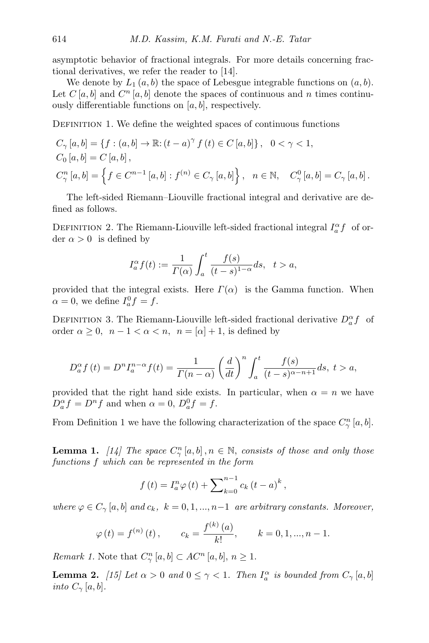asymptotic behavior of fractional integrals. For more details concerning fractional derivatives, we refer the reader to [\[14\]](#page-18-0).

We denote by  $L_1(a, b)$  the space of Lebesgue integrable functions on  $(a, b)$ . Let  $C[a, b]$  and  $C<sup>n</sup>[a, b]$  denote the spaces of continuous and n times continuously differentiable functions on  $[a, b]$ , respectively.

<span id="page-4-0"></span>DEFINITION 1. We define the weighted spaces of continuous functions

$$
C_{\gamma}[a, b] = \{f : (a, b] \to \mathbb{R} : (t - a)^{\gamma} f(t) \in C [a, b] \}, 0 < \gamma < 1,
$$
  
\n
$$
C_{0}[a, b] = C [a, b],
$$
  
\n
$$
C_{\gamma}^{n}[a, b] = \{f \in C^{n-1}[a, b] : f^{(n)} \in C_{\gamma}[a, b] \}, n \in \mathbb{N}, C_{\gamma}^{0}[a, b] = C_{\gamma}[a, b].
$$

The left-sided Riemann–Liouville fractional integral and derivative are defined as follows.

<span id="page-4-2"></span>DEFINITION 2. The Riemann-Liouville left-sided fractional integral  $I_a^{\alpha}f$  of order  $\alpha > 0$  is defined by

$$
I_a^{\alpha} f(t) := \frac{1}{\Gamma(\alpha)} \int_a^t \frac{f(s)}{(t-s)^{1-\alpha}} ds, \quad t > a,
$$

provided that the integral exists. Here  $\Gamma(\alpha)$  is the Gamma function. When  $\alpha = 0$ , we define  $I_a^0 f = f$ .

DEFINITION 3. The Riemann-Liouville left-sided fractional derivative  $D_a^{\alpha} f$  of order  $\alpha \geq 0$ ,  $n-1 < \alpha < n$ ,  $n = [\alpha] + 1$ , is defined by

$$
D_a^{\alpha} f(t) = D^n I_a^{n-\alpha} f(t) = \frac{1}{\Gamma(n-\alpha)} \left(\frac{d}{dt}\right)^n \int_a^t \frac{f(s)}{(t-s)^{\alpha-n+1}} ds, \ t > a,
$$

provided that the right hand side exists. In particular, when  $\alpha = n$  we have  $D_{a}^{\alpha} f = D^{n} f$  and when  $\alpha = 0$ ,  $D_{a}^{0} f = f$ .

<span id="page-4-1"></span>From Definition [1](#page-4-0) we have the following characterization of the space  $C_{\gamma}^{n}[a,b]$ .

**Lemma 1.** [\[14\]](#page-18-0) The space  $C_{\gamma}^{n}[a,b]$ ,  $n \in \mathbb{N}$ , consists of those and only those functions f which can be represented in the form

$$
f(t) = I_{a}^{n} \varphi(t) + \sum_{k=0}^{n-1} c_{k} (t - a)^{k},
$$

where  $\varphi \in C_{\gamma}[a, b]$  and  $c_k$ ,  $k = 0, 1, ..., n-1$  are arbitrary constants. Moreover,

$$
\varphi(t) = f^{(n)}(t),
$$
  $c_k = \frac{f^{(k)}(a)}{k!},$   $k = 0, 1, ..., n - 1.$ 

*Remark 1.* Note that  $C_{\gamma}^{n}[a,b] \subset AC^{n}[a,b], n \geq 1$ .

**Lemma 2.** [\[15\]](#page-18-12) Let  $\alpha > 0$  and  $0 \leq \gamma < 1$ . Then  $I_{a}^{\alpha}$  is bounded from  $C_{\gamma}[a, b]$ into  $C_{\gamma}$  [a, b].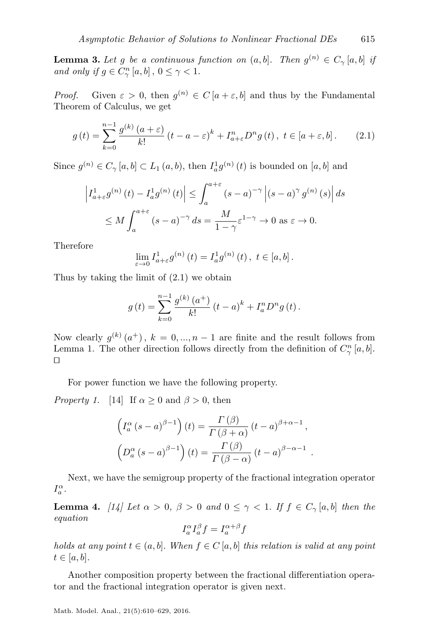<span id="page-5-3"></span>**Lemma 3.** Let g be a continuous function on  $(a, b]$ . Then  $g^{(n)} \in C_{\gamma}[a, b]$  if and only if  $g \in C_{\gamma}^{n} [a, b]$ ,  $0 \leq \gamma < 1$ .

*Proof.* Given  $\varepsilon > 0$ , then  $g^{(n)} \in C[a + \varepsilon, b]$  and thus by the Fundamental Theorem of Calculus, we get

<span id="page-5-0"></span>
$$
g\left(t\right) = \sum_{k=0}^{n-1} \frac{g^{(k)}\left(a+\varepsilon\right)}{k!} \left(t-a-\varepsilon\right)^k + I_{a+\varepsilon}^n D^n g\left(t\right), \ t \in [a+\varepsilon, b]. \tag{2.1}
$$

Since  $g^{(n)} \in C_{\gamma}[a, b] \subset L_1(a, b)$ , then  $I_a^1 g^{(n)}(t)$  is bounded on  $[a, b]$  and

$$
\left| I_{a+\varepsilon}^{1} g^{(n)}(t) - I_{a}^{1} g^{(n)}(t) \right| \leq \int_{a}^{a+\varepsilon} (s-a)^{-\gamma} \left| (s-a)^{\gamma} g^{(n)}(s) \right| ds
$$
  

$$
\leq M \int_{a}^{a+\varepsilon} (s-a)^{-\gamma} ds = \frac{M}{1-\gamma} \varepsilon^{1-\gamma} \to 0 \text{ as } \varepsilon \to 0.
$$

Therefore

$$
\lim_{\varepsilon \to 0} I_{a+\varepsilon}^{1} g^{(n)}(t) = I_a^{1} g^{(n)}(t), \ t \in [a, b].
$$

Thus by taking the limit of [\(2.1\)](#page-5-0) we obtain

$$
g(t) = \sum_{k=0}^{n-1} \frac{g^{(k)}(a^+)}{k!} (t-a)^k + I_a^n D^n g(t).
$$

Now clearly  $g^{(k)}(a^+), k = 0, ..., n-1$  are finite and the result follows from Lemma [1.](#page-4-1) The other direction follows directly from the definition of  $C_{\gamma}^{n}[a,b]$ .  $\Box$ 

For power function we have the following property.

*Property 1.* [\[14\]](#page-18-0) If  $\alpha \geq 0$  and  $\beta > 0$ , then

$$
\left(I_a^{\alpha} (s-a)^{\beta-1}\right)(t) = \frac{\Gamma(\beta)}{\Gamma(\beta+\alpha)} (t-a)^{\beta+\alpha-1},
$$

$$
\left(D_a^{\alpha} (s-a)^{\beta-1}\right)(t) = \frac{\Gamma(\beta)}{\Gamma(\beta-\alpha)} (t-a)^{\beta-\alpha-1}
$$

<span id="page-5-1"></span>.

Next, we have the semigroup property of the fractional integration operator  $I^\alpha_a.$ 

**Lemma 4.** [\[14\]](#page-18-0) Let  $\alpha > 0$ ,  $\beta > 0$  and  $0 \leq \gamma < 1$ . If  $f \in C_{\gamma}[a, b]$  then the equation

$$
I_a^{\alpha} I_a^{\beta} f = I_a^{\alpha + \beta} f
$$

holds at any point  $t \in (a, b]$ . When  $f \in C[a, b]$  this relation is valid at any point  $t \in [a, b]$ .

<span id="page-5-2"></span>Another composition property between the fractional differentiation operator and the fractional integration operator is given next.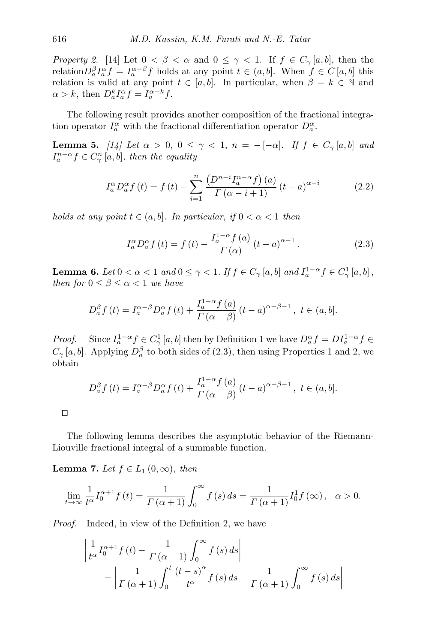Property 2. [\[14\]](#page-18-0) Let  $0 < \beta < \alpha$  and  $0 \leq \gamma < 1$ . If  $f \in C_{\gamma}[a, b]$ , then the relation $D_a^{\beta} I_a^{\alpha} f = I_a^{\alpha-\beta} f$  holds at any point  $t \in (a, b]$ . When  $f \in C [a, b]$  this relation is valid at any point  $t \in [a, b]$ . In particular, when  $\beta = k \in \mathbb{N}$  and  $\alpha > k$ , then  $D_a^k I_a^{\alpha} f = I_a^{\alpha-k} f$ .

The following result provides another composition of the fractional integration operator  $I_a^{\alpha}$  with the fractional differentiation operator  $D_a^{\alpha}$ .

**Lemma 5.** [\[14\]](#page-18-0) Let  $\alpha > 0$ ,  $0 \leq \gamma < 1$ ,  $n = -[-\alpha]$ . If  $f \in C_{\gamma}[a, b]$  and  $I_a^{n-\alpha} f \in C_{\gamma}^n [a, b]$ , then the equality

<span id="page-6-1"></span>
$$
I_a^{\alpha} D_a^{\alpha} f(t) = f(t) - \sum_{i=1}^n \frac{\left(D^{n-i} I_a^{n-\alpha} f\right)(a)}{\Gamma(\alpha - i + 1)} (t - a)^{\alpha - i}
$$
 (2.2)

holds at any point  $t \in (a, b]$ . In particular, if  $0 < \alpha < 1$  then

<span id="page-6-0"></span>
$$
I_a^{\alpha} D_a^{\alpha} f(t) = f(t) - \frac{I_a^{1-\alpha} f(a)}{\Gamma(\alpha)} (t-a)^{\alpha-1}.
$$
 (2.3)

<span id="page-6-3"></span>**Lemma 6.** Let  $0 < \alpha < 1$  and  $0 \le \gamma < 1$ . If  $f \in C_{\gamma}[a, b]$  and  $I_a^{1-\alpha} f \in C_{\gamma}^1[a, b]$ , then for  $0 \leq \beta \leq \alpha < 1$  we have

$$
D_a^{\beta} f(t) = I_a^{\alpha-\beta} D_a^{\alpha} f(t) + \frac{I_a^{1-\alpha} f(a)}{\Gamma(\alpha-\beta)} (t-a)^{\alpha-\beta-1}, \ t \in (a, b].
$$

*Proof.* Since  $I_a^{1-\alpha} f \in C_{\gamma}^1 [a, b]$  $I_a^{1-\alpha} f \in C_{\gamma}^1 [a, b]$  $I_a^{1-\alpha} f \in C_{\gamma}^1 [a, b]$  then by Definition 1 we have  $D_a^{\alpha} f = D I_a^{1-\alpha} f \in$  $C_{\gamma}[a, b]$ . Applying  $D_a^{\beta}$  to both sides of [\(2.3\)](#page-6-0), then using Properties [1](#page-5-1) and [2,](#page-5-2) we obtain

$$
D_a^{\beta} f(t) = I_a^{\alpha-\beta} D_a^{\alpha} f(t) + \frac{I_a^{1-\alpha} f(a)}{\Gamma(\alpha-\beta)} (t-a)^{\alpha-\beta-1}, \ t \in (a, b].
$$

 $\Box$ 

The following lemma describes the asymptotic behavior of the Riemann-Liouville fractional integral of a summable function.

<span id="page-6-2"></span>**Lemma 7.** Let  $f \in L_1(0,\infty)$ , then

$$
\lim_{t \to \infty} \frac{1}{t^{\alpha}} I_0^{\alpha+1} f(t) = \frac{1}{\Gamma(\alpha+1)} \int_0^{\infty} f(s) ds = \frac{1}{\Gamma(\alpha+1)} I_0^1 f(\infty), \quad \alpha > 0.
$$

Proof. Indeed, in view of the Definition [2,](#page-4-2) we have

$$
\left| \frac{1}{t^{\alpha}} I_0^{\alpha+1} f(t) - \frac{1}{\Gamma(\alpha+1)} \int_0^{\infty} f(s) ds \right|
$$
  
= 
$$
\left| \frac{1}{\Gamma(\alpha+1)} \int_0^t \frac{(t-s)^{\alpha}}{t^{\alpha}} f(s) ds - \frac{1}{\Gamma(\alpha+1)} \int_0^{\infty} f(s) ds \right|
$$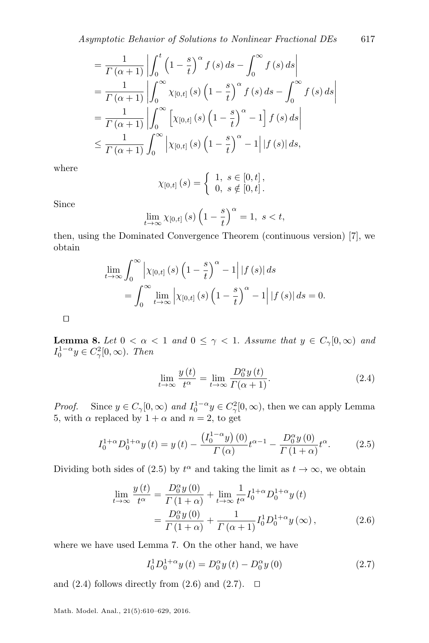$$
\begin{split}\n&= \frac{1}{\Gamma(\alpha+1)} \left| \int_0^t \left(1 - \frac{s}{t}\right)^\alpha f(s) \, ds - \int_0^\infty f(s) \, ds \right| \\
&= \frac{1}{\Gamma(\alpha+1)} \left| \int_0^\infty \chi_{[0,t]}(s) \left(1 - \frac{s}{t}\right)^\alpha f(s) \, ds - \int_0^\infty f(s) \, ds \right| \\
&= \frac{1}{\Gamma(\alpha+1)} \left| \int_0^\infty \left[ \chi_{[0,t]}(s) \left(1 - \frac{s}{t}\right)^\alpha - 1 \right] f(s) \, ds \right| \\
&\leq \frac{1}{\Gamma(\alpha+1)} \int_0^\infty \left| \chi_{[0,t]}(s) \left(1 - \frac{s}{t}\right)^\alpha - 1 \right| |f(s)| \, ds,\n\end{split}
$$

where

$$
\chi_{[0,t]}(s) = \begin{cases} 1, \ s \in [0,t], \\ 0, \ s \notin [0,t]. \end{cases}
$$

Since

$$
\lim_{t \to \infty} \chi_{[0,t]}(s) \left(1 - \frac{s}{t}\right)^{\alpha} = 1, \ s < t,
$$

then, using the Dominated Convergence Theorem (continuous version) [\[7\]](#page-18-13), we obtain

$$
\lim_{t \to \infty} \int_0^{\infty} \left| \chi_{[0,t]}(s) \left( 1 - \frac{s}{t} \right)^{\alpha} - 1 \right| |f(s)| ds
$$
  
= 
$$
\int_0^{\infty} \lim_{t \to \infty} \left| \chi_{[0,t]}(s) \left( 1 - \frac{s}{t} \right)^{\alpha} - 1 \right| |f(s)| ds = 0.
$$

 $\Box$ 

<span id="page-7-4"></span>**Lemma 8.** Let  $0 < \alpha < 1$  and  $0 \leq \gamma < 1$ . Assume that  $y \in C_{\gamma}[0,\infty)$  and  $I_0^{1-\alpha}y \in C_\gamma^2[0,\infty)$ . Then

<span id="page-7-1"></span><span id="page-7-0"></span>
$$
\lim_{t \to \infty} \frac{y(t)}{t^{\alpha}} = \lim_{t \to \infty} \frac{D_0^{\alpha} y(t)}{\Gamma(\alpha + 1)}.
$$
\n(2.4)

*Proof.* Since  $y \in C_{\gamma}[0,\infty)$  and  $I_0^{1-\alpha}y \in C_{\gamma}^2[0,\infty)$ , then we can apply Lemma [5,](#page-6-1) with  $\alpha$  replaced by  $1 + \alpha$  and  $n = 2$ , to get

$$
I_0^{1+\alpha} D_0^{1+\alpha} y(t) = y(t) - \frac{\left(I_0^{1-\alpha} y\right)(0)}{\Gamma(\alpha)} t^{\alpha-1} - \frac{D_0^{\alpha} y(0)}{\Gamma(1+\alpha)} t^{\alpha}.
$$
 (2.5)

Dividing both sides of [\(2.5\)](#page-7-0) by  $t^{\alpha}$  and taking the limit as  $t \to \infty$ , we obtain

$$
\lim_{t \to \infty} \frac{y(t)}{t^{\alpha}} = \frac{D_0^{\alpha} y(0)}{\Gamma(1+\alpha)} + \lim_{t \to \infty} \frac{1}{t^{\alpha}} I_0^{1+\alpha} D_0^{1+\alpha} y(t)
$$

$$
= \frac{D_0^{\alpha} y(0)}{\Gamma(1+\alpha)} + \frac{1}{\Gamma(\alpha+1)} I_0^{1+\alpha} y(\infty), \tag{2.6}
$$

where we have used Lemma [7.](#page-6-2) On the other hand, we have

<span id="page-7-3"></span><span id="page-7-2"></span>
$$
I_0^1 D_0^{1+\alpha} y(t) = D_0^{\alpha} y(t) - D_0^{\alpha} y(0)
$$
 (2.7)

and  $(2.4)$  follows directly from  $(2.6)$  and  $(2.7)$ .  $\Box$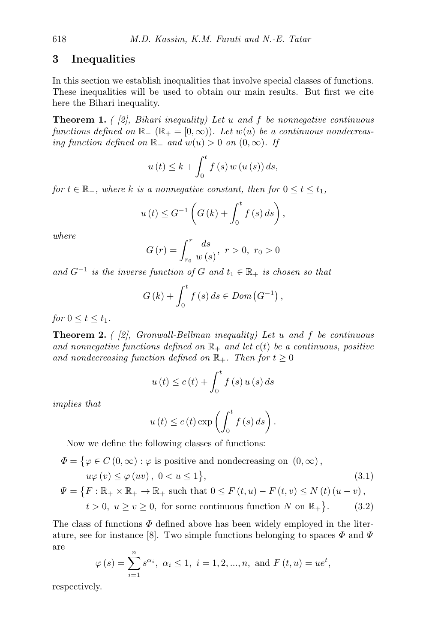#### <span id="page-8-0"></span>3 Inequalities

In this section we establish inequalities that involve special classes of functions. These inequalities will be used to obtain our main results. But first we cite here the Bihari inequality.

<span id="page-8-2"></span>**Theorem 1.** (  $[2]$ , Bihari inequality) Let u and f be nonnegative continuous functions defined on  $\mathbb{R}_+$   $(\mathbb{R}_+ = [0, \infty))$ . Let  $w(u)$  be a continuous nondecreasing function defined on  $\mathbb{R}_+$  and  $w(u) > 0$  on  $(0, \infty)$ . If

$$
u(t) \leq k + \int_0^t f(s) w(u(s)) ds,
$$

for  $t \in \mathbb{R}_+$ , where k is a nonnegative constant, then for  $0 \le t \le t_1$ ,

$$
u(t) \le G^{-1}\left(G(k) + \int_0^t f(s) \, ds\right),\,
$$

where

$$
G(r) = \int_{r_0}^{r} \frac{ds}{w(s)}, \ r > 0, \ r_0 > 0
$$

and  $G^{-1}$  is the inverse function of G and  $t_1 \in \mathbb{R}_+$  is chosen so that

$$
G(k) + \int_0^t f(s) \, ds \in Dom\left(G^{-1}\right),
$$

for  $0 \le t \le t_1$ .

<span id="page-8-4"></span>**Theorem 2.** ( [\[2\]](#page-18-11), Gronwall-Bellman inequality) Let u and f be continuous and nonnegative functions defined on  $\mathbb{R}_+$  and let  $c(t)$  be a continuous, positive and nondecreasing function defined on  $\mathbb{R}_+$ . Then for  $t \geq 0$ 

$$
u(t) \le c(t) + \int_0^t f(s) u(s) ds
$$

implies that

<span id="page-8-3"></span><span id="page-8-1"></span>
$$
u(t) \le c(t) \exp\left(\int_0^t f(s) \, ds\right).
$$

Now we define the following classes of functions:

$$
\Phi = \{ \varphi \in C (0, \infty) : \varphi \text{ is positive and nondecreasing on } (0, \infty),
$$
  
\n
$$
u\varphi(v) \le \varphi(uv), \ 0 < u \le 1 \},
$$
  
\n
$$
\Psi = \{ F : \mathbb{R}_+ \times \mathbb{R}_+ \to \mathbb{R}_+ \text{ such that } 0 \le F (t, u) - F (t, v) \le N (t) (u - v),
$$
\n(3.1)

$$
t > 0, u \ge v \ge 0, \text{ for some continuous function } N \text{ on } \mathbb{R}_+\}.
$$
 (3.2)

The class of functions  $\Phi$  defined above has been widely employed in the liter-ature, see for instance [\[8\]](#page-18-14). Two simple functions belonging to spaces  $\Phi$  and  $\Psi$ are

$$
\varphi(s) = \sum_{i=1}^{n} s^{\alpha_i}, \ \alpha_i \le 1, \ i = 1, 2, ..., n, \text{ and } F(t, u) = ue^t,
$$

respectively.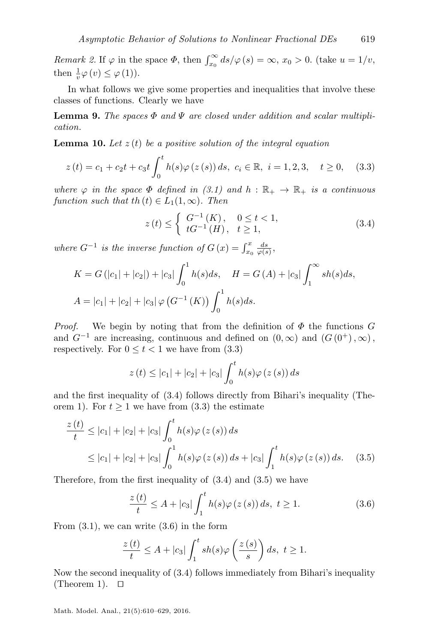Remark 2. If  $\varphi$  in the space  $\Phi$ , then  $\int_{x_0}^{\infty} ds/\varphi(s) = \infty$ ,  $x_0 > 0$ . (take  $u = 1/v$ , then  $\frac{1}{v}\varphi(v) \leq \varphi(1)$ ).

In what follows we give some properties and inequalities that involve these classes of functions. Clearly we have

**Lemma 9.** The spaces  $\Phi$  and  $\Psi$  are closed under addition and scalar multiplication.

<span id="page-9-4"></span>**Lemma 10.** Let  $z(t)$  be a positive solution of the integral equation

$$
z(t) = c_1 + c_2t + c_3t \int_0^t h(s)\varphi(z(s)) ds, \ c_i \in \mathbb{R}, \ i = 1, 2, 3, \quad t \ge 0,
$$
 (3.3)

where  $\varphi$  in the space  $\Phi$  defined in [\(3.1\)](#page-8-1) and  $h : \mathbb{R}_+ \to \mathbb{R}_+$  is a continuous function such that th $(t) \in L_1(1,\infty)$ . Then

<span id="page-9-1"></span><span id="page-9-0"></span>
$$
z(t) \leq \begin{cases} G^{-1}(K), & 0 \leq t < 1, \\ tG^{-1}(H), & t \geq 1, \end{cases}
$$
 (3.4)

where  $G^{-1}$  is the inverse function of  $G(x) = \int_{x_0}^x \frac{ds}{\varphi(s)}$ ,

$$
K = G(|c_1| + |c_2|) + |c_3| \int_0^1 h(s)ds, \quad H = G(A) + |c_3| \int_1^\infty sh(s)ds,
$$
  

$$
A = |c_1| + |c_2| + |c_3| \varphi (G^{-1} (K)) \int_0^1 h(s)ds.
$$

*Proof.* We begin by noting that from the definition of  $\Phi$  the functions G and  $G^{-1}$  are increasing, continuous and defined on  $(0, \infty)$  and  $(G(0^+), \infty)$ , respectively. For  $0 \le t < 1$  we have from  $(3.3)$ 

$$
z(t) \le |c_1| + |c_2| + |c_3| \int_0^t h(s) \varphi(z(s)) ds
$$

and the first inequality of [\(3.4\)](#page-9-1) follows directly from Bihari's inequality (The-orem [1\)](#page-8-2). For  $t \geq 1$  we have from [\(3.3\)](#page-9-0) the estimate

$$
\frac{z(t)}{t} \le |c_1| + |c_2| + |c_3| \int_0^t h(s)\varphi(z(s)) ds
$$
  
 
$$
\le |c_1| + |c_2| + |c_3| \int_0^1 h(s)\varphi(z(s)) ds + |c_3| \int_1^t h(s)\varphi(z(s)) ds. \quad (3.5)
$$

Therefore, from the first inequality of [\(3.4\)](#page-9-1) and [\(3.5\)](#page-9-2) we have

<span id="page-9-3"></span><span id="page-9-2"></span>
$$
\frac{z(t)}{t} \le A + |c_3| \int_1^t h(s)\varphi(z(s)) ds, t \ge 1.
$$
 (3.6)

From  $(3.1)$ , we can write  $(3.6)$  in the form

$$
\frac{z(t)}{t} \le A + |c_3| \int_1^t sh(s)\varphi\left(\frac{z(s)}{s}\right)ds, \ t \ge 1.
$$

<span id="page-9-5"></span>Now the second inequality of [\(3.4\)](#page-9-1) follows immediately from Bihari's inequality (Theorem [1\)](#page-8-2).  $\Box$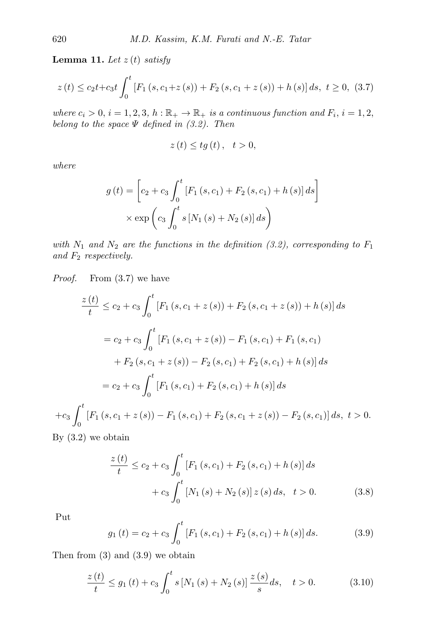Lemma 11. Let  $z(t)$  satisfy

$$
z(t) \le c_2 t + c_3 t \int_0^t \left[ F_1(s, c_1 + z(s)) + F_2(s, c_1 + z(s)) + h(s) \right] ds, \ t \ge 0, \ (3.7)
$$

where  $c_i > 0$ ,  $i = 1, 2, 3, h : \mathbb{R}_+ \to \mathbb{R}_+$  is a continuous function and  $F_i$ ,  $i = 1, 2,$ belong to the space  $\Psi$  defined in  $(3.2)$ . Then

<span id="page-10-0"></span>
$$
z(t) \leq tg(t), \quad t > 0,
$$

where

$$
g(t) = \left[c_2 + c_3 \int_0^t \left[F_1(s, c_1) + F_2(s, c_1) + h(s)\right] ds\right] \times \exp\left(c_3 \int_0^t s \left[N_1(s) + N_2(s)\right] ds\right)
$$

with  $N_1$  and  $N_2$  are the functions in the definition [\(3.2\)](#page-8-3), corresponding to  $F_1$ and  $F_2$  respectively.

Proof. From  $(3.7)$  we have

$$
\frac{z(t)}{t} \le c_2 + c_3 \int_0^t \left[ F_1(s, c_1 + z(s)) + F_2(s, c_1 + z(s)) + h(s) \right] ds
$$
  
\n
$$
= c_2 + c_3 \int_0^t \left[ F_1(s, c_1 + z(s)) - F_1(s, c_1) + F_1(s, c_1) + F_2(s, c_1 + z(s)) - F_2(s, c_1) + F_2(s, c_1) + h(s) \right] ds
$$
  
\n
$$
= c_2 + c_3 \int_0^t \left[ F_1(s, c_1) + F_2(s, c_1) + h(s) \right] ds
$$
  
\n
$$
+ c_3 \int_0^t \left[ F_1(s, c_1 + z(s)) - F_1(s, c_1) + F_2(s, c_1 + z(s)) - F_2(s, c_1) \right] ds, t > 0.
$$

By [\(3.2\)](#page-8-3) we obtain

<span id="page-10-1"></span>
$$
\frac{z(t)}{t} \le c_2 + c_3 \int_0^t \left[ F_1(s, c_1) + F_2(s, c_1) + h(s) \right] ds
$$

$$
+ c_3 \int_0^t \left[ N_1(s) + N_2(s) \right] z(s) ds, \quad t > 0. \tag{3.8}
$$

<span id="page-10-2"></span>Put

<span id="page-10-3"></span>
$$
g_1(t) = c_2 + c_3 \int_0^t \left[ F_1(s, c_1) + F_2(s, c_1) + h(s) \right] ds.
$$
 (3.9)

Then from [\(3\)](#page-10-1) and [\(3.9\)](#page-10-2) we obtain

$$
\frac{z(t)}{t} \le g_1(t) + c_3 \int_0^t s \left[ N_1(s) + N_2(s) \right] \frac{z(s)}{s} ds, \quad t > 0. \tag{3.10}
$$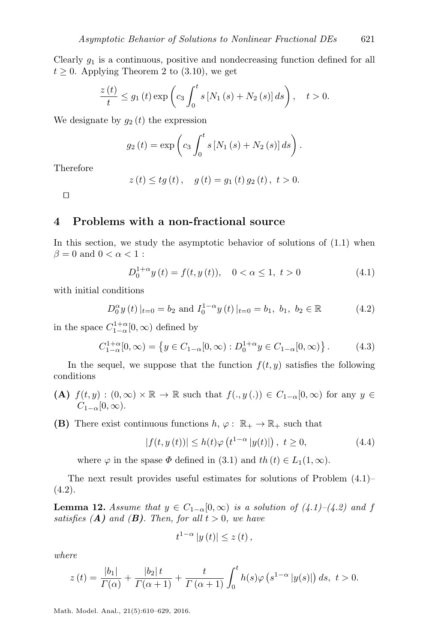Clearly  $g_1$  is a continuous, positive and nondecreasing function defined for all  $t \geq 0$ . Applying Theorem [2](#page-8-4) to [\(3.10\)](#page-10-3), we get

$$
\frac{z(t)}{t} \le g_1(t) \exp\left(c_3 \int_0^t s \left[N_1(s) + N_2(s)\right] ds\right), \quad t > 0.
$$

We designate by  $g_2(t)$  the expression

$$
g_2(t) = \exp\left(c_3 \int_0^t s [N_1(s) + N_2(s)] ds\right).
$$

Therefore

$$
z(t) \leq tg(t)
$$
,  $g(t) = g_1(t) g_2(t)$ ,  $t > 0$ .

 $\Box$ 

#### <span id="page-11-0"></span>4 Problems with a non-fractional source

In this section, we study the asymptotic behavior of solutions of [\(1.1\)](#page-0-0) when  $\beta = 0$  and  $0 < \alpha < 1$ :

<span id="page-11-5"></span><span id="page-11-2"></span><span id="page-11-1"></span>
$$
D_0^{1+\alpha} y(t) = f(t, y(t)), \quad 0 < \alpha \le 1, \ t > 0
$$
\n(4.1)

with initial conditions

$$
D_0^{\alpha} y(t) |_{t=0} = b_2 \text{ and } I_0^{1-\alpha} y(t) |_{t=0} = b_1, b_1, b_2 \in \mathbb{R}
$$
 (4.2)

in the space  $C_{1-\alpha}^{1+\alpha}[0,\infty)$  defined by

$$
C_{1-\alpha}^{1+\alpha}[0,\infty) = \{ y \in C_{1-\alpha}[0,\infty) : D_0^{1+\alpha} y \in C_{1-\alpha}[0,\infty) \}.
$$
 (4.3)

In the sequel, we suppose that the function  $f(t, y)$  satisfies the following conditions

- (A)  $f(t, y) : (0, \infty) \times \mathbb{R} \to \mathbb{R}$  such that  $f(., y(.)) \in C_{1-\alpha}[0, \infty)$  for any  $y \in$  $C_{1-\alpha}[0,\infty).$
- **(B)** There exist continuous functions  $h, \varphi : \mathbb{R}_+ \to \mathbb{R}_+$  such that

<span id="page-11-3"></span>
$$
|f(t, y(t))| \le h(t)\varphi(t^{1-\alpha} |y(t)|), \ t \ge 0,
$$
 (4.4)

where  $\varphi$  in the spase  $\Phi$  defined in [\(3.1\)](#page-8-1) and  $th (t) \in L_1(1, \infty)$ .

The next result provides useful estimates for solutions of Problem [\(4.1\)](#page-11-1)–  $(4.2).$  $(4.2).$ 

<span id="page-11-4"></span>**Lemma 12.** Assume that  $y \in C_{1-\alpha}[0,\infty)$  is a solution of  $(4.1)-(4.2)$  $(4.1)-(4.2)$  $(4.1)-(4.2)$  and f satisfies  $(A)$  and  $(B)$ . Then, for all  $t > 0$ , we have

$$
t^{1-\alpha}|y(t)|\leq z(t),
$$

where

$$
z(t) = \frac{|b_1|}{\Gamma(\alpha)} + \frac{|b_2|t}{\Gamma(\alpha+1)} + \frac{t}{\Gamma(\alpha+1)} \int_0^t h(s)\varphi(s^{1-\alpha}|y(s)|) ds, \ t > 0.
$$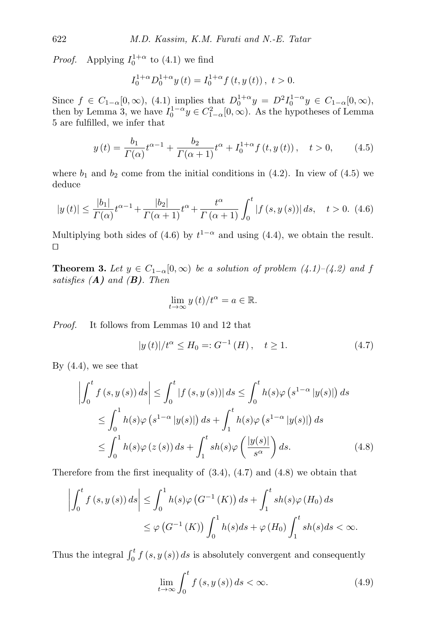*Proof.* Applying  $I_0^{1+\alpha}$  to [\(4.1\)](#page-11-1) we find

<span id="page-12-0"></span>
$$
I_0^{1+\alpha} D_0^{1+\alpha} y(t) = I_0^{1+\alpha} f(t, y(t)), t > 0.
$$

Since  $f \in C_{1-\alpha}[0,\infty)$ , [\(4.1\)](#page-11-1) implies that  $D_0^{1+\alpha}y = D^2I_0^{1-\alpha}y \in C_{1-\alpha}[0,\infty)$ , then by Lemma [3,](#page-5-3) we have  $I_0^{1-\alpha}y \in C_{1-\alpha}^2[0,\infty)$ . As the hypotheses of Lemma [5](#page-6-1) are fulfilled, we infer that

$$
y(t) = \frac{b_1}{\Gamma(\alpha)} t^{\alpha - 1} + \frac{b_2}{\Gamma(\alpha + 1)} t^{\alpha} + I_0^{1 + \alpha} f(t, y(t)), \quad t > 0,
$$
 (4.5)

<span id="page-12-1"></span>where  $b_1$  and  $b_2$  come from the initial conditions in [\(4.2\)](#page-11-2). In view of [\(4.5\)](#page-12-0) we deduce

$$
|y(t)| \le \frac{|b_1|}{\Gamma(\alpha)} t^{\alpha - 1} + \frac{|b_2|}{\Gamma(\alpha + 1)} t^{\alpha} + \frac{t^{\alpha}}{\Gamma(\alpha + 1)} \int_0^t |f(s, y(s))| ds, \quad t > 0. \tag{4.6}
$$

Multiplying both sides of [\(4.6\)](#page-12-1) by  $t^{1-\alpha}$  and using [\(4.4\)](#page-11-3), we obtain the result.  $\Box$ 

<span id="page-12-5"></span>**Theorem 3.** Let  $y \in C_{1-\alpha}[0,\infty)$  be a solution of problem  $(4.1)-(4.2)$  $(4.1)-(4.2)$  $(4.1)-(4.2)$  and f satisfies  $(A)$  and  $(B)$ . Then

<span id="page-12-3"></span><span id="page-12-2"></span>
$$
\lim_{t \to \infty} y(t)/t^{\alpha} = a \in \mathbb{R}.
$$

Proof. It follows from Lemmas [10](#page-9-4) and [12](#page-11-4) that

$$
|y(t)|/t^{\alpha} \le H_0 =: G^{-1}(H), \quad t \ge 1. \tag{4.7}
$$

By  $(4.4)$ , we see that

$$
\left| \int_0^t f(s, y(s)) ds \right| \leq \int_0^t |f(s, y(s))| ds \leq \int_0^t h(s) \varphi \left( s^{1-\alpha} |y(s)| \right) ds
$$
  

$$
\leq \int_0^1 h(s) \varphi \left( s^{1-\alpha} |y(s)| \right) ds + \int_1^t h(s) \varphi \left( s^{1-\alpha} |y(s)| \right) ds
$$
  

$$
\leq \int_0^1 h(s) \varphi \left( z(s) \right) ds + \int_1^t sh(s) \varphi \left( \frac{|y(s)|}{s^{\alpha}} \right) ds. \tag{4.8}
$$

Therefore from the first inequality of  $(3.4)$ ,  $(4.7)$  and  $(4.8)$  we obtain that

$$
\left| \int_0^t f(s, y(s)) ds \right| \leq \int_0^1 h(s) \varphi \left( G^{-1} \left( K \right) \right) ds + \int_1^t sh(s) \varphi \left( H_0 \right) ds
$$
  

$$
\leq \varphi \left( G^{-1} \left( K \right) \right) \int_0^1 h(s) ds + \varphi \left( H_0 \right) \int_1^t sh(s) ds < \infty.
$$

Thus the integral  $\int_0^t f(s, y(s)) ds$  is absolutely convergent and consequently

<span id="page-12-4"></span>
$$
\lim_{t \to \infty} \int_0^t f(s, y(s)) ds < \infty.
$$
\n(4.9)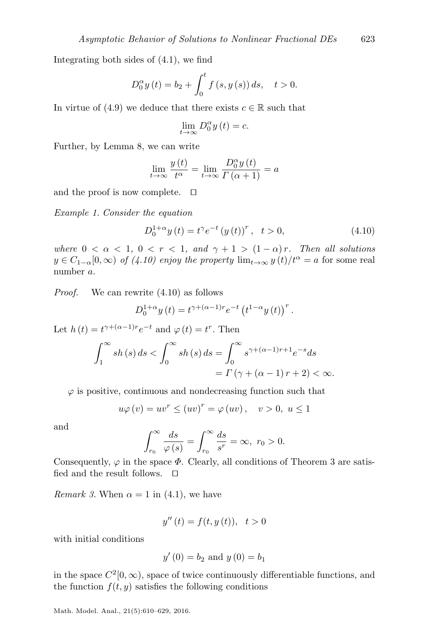Integrating both sides of [\(4.1\)](#page-11-1), we find

$$
D_0^{\alpha} y(t) = b_2 + \int_0^t f(s, y(s)) ds, \quad t > 0.
$$

In virtue of [\(4.9\)](#page-12-4) we deduce that there exists  $c \in \mathbb{R}$  such that

$$
\lim_{t \to \infty} D_0^{\alpha} y(t) = c.
$$

Further, by Lemma [8,](#page-7-4) we can write

$$
\lim_{t \to \infty} \frac{y(t)}{t^{\alpha}} = \lim_{t \to \infty} \frac{D_0^{\alpha} y(t)}{\Gamma(\alpha + 1)} = a
$$

and the proof is now complete.  $\square$ 

Example 1. Consider the equation

<span id="page-13-0"></span>
$$
D_0^{1+\alpha} y(t) = t^{\gamma} e^{-t} (y(t))^r, \quad t > 0,
$$
\n(4.10)

where  $0 < \alpha < 1$ ,  $0 < r < 1$ , and  $\gamma + 1 > (1 - \alpha)r$ . Then all solutions  $y \in C_{1-\alpha}[0,\infty)$  of  $(4.10)$  enjoy the property  $\lim_{t\to\infty} y(t)/t^{\alpha} = a$  for some real number a.

Proof. We can rewrite [\(4.10\)](#page-13-0) as follows

$$
D_0^{1+\alpha} y(t) = t^{\gamma + (\alpha - 1)r} e^{-t} (t^{1-\alpha} y(t))^r.
$$

Let  $h(t) = t^{\gamma + (\alpha - 1)r} e^{-t}$  and  $\varphi(t) = t^r$ . Then

$$
\int_{1}^{\infty} sh(s) ds < \int_{0}^{\infty} sh(s) ds = \int_{0}^{\infty} s^{\gamma + (\alpha - 1)r + 1} e^{-s} ds
$$
  
=  $\Gamma(\gamma + (\alpha - 1) r + 2) < \infty$ .

 $\varphi$  is positive, continuous and nondecreasing function such that

$$
u\varphi(v) = uv^{r} \le (uv)^{r} = \varphi(uv), \quad v > 0, u \le 1
$$

and

$$
\int_{r_0}^{\infty} \frac{ds}{\varphi(s)} = \int_{r_0}^{\infty} \frac{ds}{s^r} = \infty, \ r_0 > 0.
$$

Consequently,  $\varphi$  in the space  $\Phi$ . Clearly, all conditions of Theorem [3](#page-12-5) are satisfied and the result follows.  $\square$ 

Remark 3. When  $\alpha = 1$  in [\(4.1\)](#page-11-1), we have

$$
y''(t) = f(t, y(t)), \quad t > 0
$$

with initial conditions

$$
y'(0) = b_2
$$
 and  $y(0) = b_1$ 

in the space  $C^2[0,\infty)$ , space of twice continuously differentiable functions, and the function  $f(t, y)$  satisfies the following conditions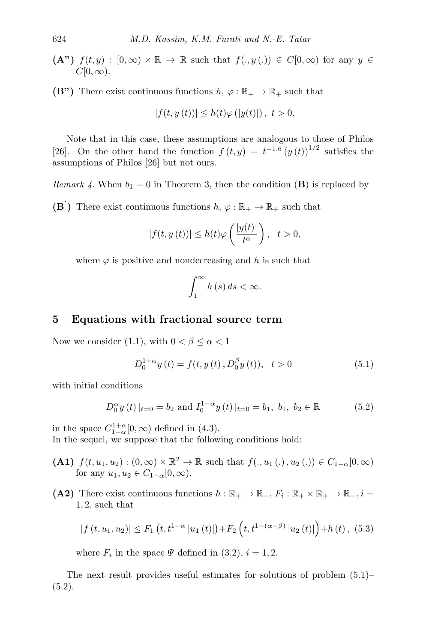- $(A^{\prime\prime})$   $f(t, y) : [0, \infty) \times \mathbb{R} \to \mathbb{R}$  such that  $f(., y(.) \in C[0, \infty)$  for any  $y \in C[0, \infty)$  $C[0,\infty)$ .
- $(B")$  There exist continuous functions  $h, \varphi : \mathbb{R}_+ \to \mathbb{R}_+$  such that

$$
|f(t, y(t))| \le h(t)\varphi(|y(t)|), \ t > 0.
$$

Note that in this case, these assumptions are analogous to those of Philos [\[26\]](#page-19-14). On the other hand the function  $f(t, y) = t^{-1.6} (y(t))^{1/2}$  satisfies the assumptions of Philos [\[26\]](#page-19-14) but not ours.

*Remark 4.* When  $b_1 = 0$  in Theorem [3,](#page-12-5) then the condition (**B**) is replaced by  $(\mathbf{B}')$  There exist continuous functions  $h, \varphi : \mathbb{R}_+ \to \mathbb{R}_+$  such that

$$
|f(t, y(t))| \le h(t)\varphi\left(\frac{|y(t)|}{t^{\alpha}}\right), \quad t > 0,
$$

where  $\varphi$  is positive and nondecreasing and h is such that

<span id="page-14-1"></span>
$$
\int_{1}^{\infty} h(s) \, ds < \infty.
$$

### <span id="page-14-0"></span>5 Equations with fractional source term

Now we consider [\(1.1\)](#page-0-0), with  $0 < \beta \leq \alpha < 1$ 

<span id="page-14-2"></span>
$$
D_0^{1+\alpha} y(t) = f(t, y(t), D_0^{\beta} y(t)), \quad t > 0
$$
\n(5.1)

with initial conditions

$$
D_0^{\alpha} y(t)|_{t=0} = b_2
$$
 and  $I_0^{1-\alpha} y(t)|_{t=0} = b_1, b_1, b_2 \in \mathbb{R}$  (5.2)

in the space  $C_{1-\alpha}^{1+\alpha}[0,\infty)$  defined in [\(4.3\)](#page-11-5). In the sequel, we suppose that the following conditions hold:

- (A1)  $f(t, u_1, u_2) : (0, \infty) \times \mathbb{R}^2 \to \mathbb{R}$  such that  $f(., u_1(.) , u_2(.) ) \in C_{1-\alpha}[0, \infty)$ for any  $u_1, u_2 \in C_{1-\alpha}[0, \infty)$ .
- (A2) There exist continuous functions  $h : \mathbb{R}_+ \to \mathbb{R}_+$ ,  $F_i : \mathbb{R}_+ \times \mathbb{R}_+ \to \mathbb{R}_+$ ,  $i =$ 1, 2, such that

<span id="page-14-4"></span>
$$
|f(t, u_1, u_2)| \le F_1(t, t^{1-\alpha} |u_1(t)|) + F_2(t, t^{1-(\alpha-\beta)} |u_2(t)|) + h(t), (5.3)
$$

where  $F_i$  in the space  $\Psi$  defined in [\(3.2\)](#page-8-3),  $i = 1, 2$ .

<span id="page-14-3"></span>The next result provides useful estimates for solutions of problem [\(5.1\)](#page-14-1)–  $(5.2).$  $(5.2).$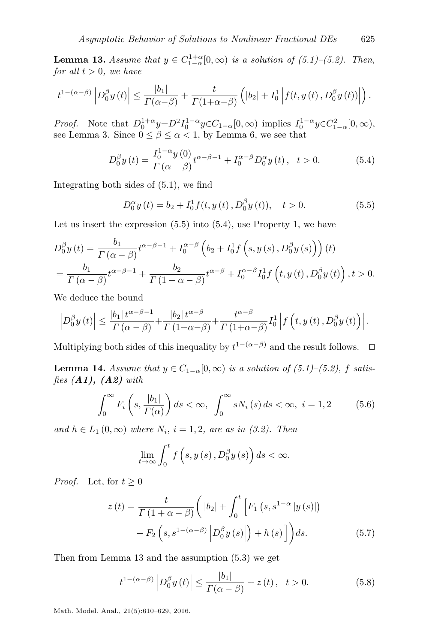**Lemma 13.** Assume that  $y \in C_{1-\alpha}^{1+\alpha}[0,\infty)$  is a solution of [\(5.1\)](#page-14-1)–[\(5.2\)](#page-14-2). Then, for all  $t > 0$ , we have

$$
t^{1-(\alpha-\beta)}\left|D_0^{\beta}y(t)\right| \leq \frac{|b_1|}{\Gamma(\alpha-\beta)} + \frac{t}{\Gamma(1+\alpha-\beta)}\left(|b_2| + I_0^1\left|f(t,y(t), D_0^{\beta}y(t))\right|\right).
$$

Proof. Note that  $D_0^{1+\alpha} y=D^2 I_0^{1-\alpha} y \in C_{1-\alpha}[0,\infty)$  implies  $I_0^{1-\alpha} y \in C_{1-\alpha}^2[0,\infty)$ , see Lemma [3.](#page-5-3) Since  $0 \le \beta \le \alpha < 1$ , by Lemma [6,](#page-6-3) we see that

$$
D_0^{\beta} y(t) = \frac{I_0^{1-\alpha} y(0)}{\Gamma(\alpha - \beta)} t^{\alpha - \beta - 1} + I_0^{\alpha - \beta} D_0^{\alpha} y(t), \quad t > 0.
$$
 (5.4)

Integrating both sides of [\(5.1\)](#page-14-1), we find

<span id="page-15-1"></span><span id="page-15-0"></span>
$$
D_0^{\alpha} y(t) = b_2 + I_0^1 f(t, y(t), D_0^{\beta} y(t)), \quad t > 0.
$$
 (5.5)

Let us insert the expression  $(5.5)$  into  $(5.4)$ , use Property [1,](#page-5-1) we have

$$
D_0^{\beta} y(t) = \frac{b_1}{\Gamma(\alpha - \beta)} t^{\alpha - \beta - 1} + I_0^{\alpha - \beta} \left( b_2 + I_0^1 f(s, y(s), D_0^{\beta} y(s)) \right)(t)
$$
  
= 
$$
\frac{b_1}{\Gamma(\alpha - \beta)} t^{\alpha - \beta - 1} + \frac{b_2}{\Gamma(1 + \alpha - \beta)} t^{\alpha - \beta} + I_0^{\alpha - \beta} I_0^1 f(t, y(t), D_0^{\beta} y(t)), t > 0.
$$

We deduce the bound

$$
\left|D_0^{\beta}y(t)\right| \leq \frac{|b_1| t^{\alpha-\beta-1}}{\Gamma(\alpha-\beta)} + \frac{|b_2| t^{\alpha-\beta}}{\Gamma(1+\alpha-\beta)} + \frac{t^{\alpha-\beta}}{\Gamma(1+\alpha-\beta)} I_0^1 \left|f\left(t, y(t), D_0^{\beta}y(t)\right)\right|.
$$

Multiplying both sides of this inequality by  $t^{1-(\alpha-\beta)}$  and the result follows.  $\Box$ 

<span id="page-15-4"></span>**Lemma 14.** Assume that  $y \in C_{1-\alpha}[0,\infty)$  is a solution of [\(5.1\)](#page-14-1)–[\(5.2\)](#page-14-2), f satisfies  $(A1)$ ,  $(A2)$  with

<span id="page-15-5"></span>
$$
\int_0^\infty F_i\left(s, \frac{|b_1|}{\Gamma(\alpha)}\right) ds < \infty, \quad \int_0^\infty s N_i\left(s\right) ds < \infty, \quad i = 1, 2 \tag{5.6}
$$

and  $h \in L_1(0,\infty)$  where  $N_i$ ,  $i = 1,2$ , are as in [\(3.2\)](#page-8-3). Then

<span id="page-15-3"></span>
$$
\lim_{t \to \infty} \int_0^t f\left(s, y\left(s\right), D_0^{\beta} y\left(s\right)\right) ds < \infty.
$$

*Proof.* Let, for  $t \geq 0$ 

$$
z(t) = \frac{t}{\Gamma(1+\alpha-\beta)} \left( |b_2| + \int_0^t \left[ F_1(s, s^{1-\alpha} | y(s) | ) + F_2\left(s, s^{1-(\alpha-\beta)} | D_0^{\beta} y(s) | \right) + h(s) \right] \right) ds.
$$
 (5.7)

Then from Lemma [13](#page-14-3) and the assumption [\(5.3\)](#page-14-4) we get

<span id="page-15-2"></span>
$$
t^{1-(\alpha-\beta)}\left|D_0^{\beta}y(t)\right| \le \frac{|b_1|}{\Gamma(\alpha-\beta)} + z(t), \quad t > 0.
$$
 (5.8)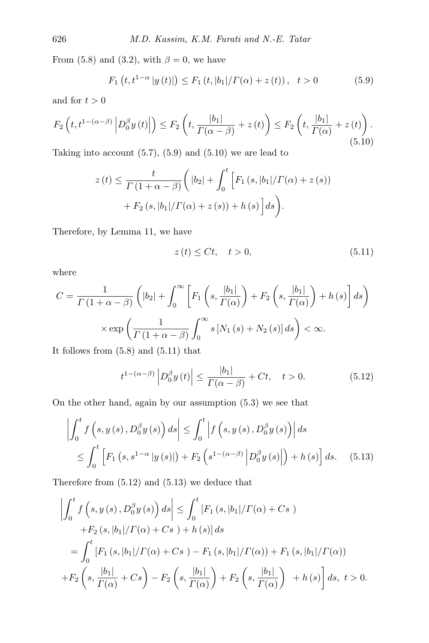From [\(5.8\)](#page-15-2) and [\(3.2\)](#page-8-3), with  $\beta = 0$ , we have

<span id="page-16-1"></span><span id="page-16-0"></span>
$$
F_1(t, t^{1-\alpha} |y(t)|) \le F_1(t, |b_1| / \Gamma(\alpha) + z(t)), \quad t > 0
$$
 (5.9)

and for  $t > 0$ 

$$
F_2\left(t, t^{1-(\alpha-\beta)} \left| D_0^{\beta} y(t) \right| \right) \le F_2\left(t, \frac{|b_1|}{\Gamma(\alpha-\beta)} + z(t) \right) \le F_2\left(t, \frac{|b_1|}{\Gamma(\alpha)} + z(t) \right). \tag{5.10}
$$

Taking into account  $(5.7)$ ,  $(5.9)$  and  $(5.10)$  we are lead to

$$
z(t) \leq \frac{t}{\Gamma(1+\alpha-\beta)} \bigg( |b_2| + \int_0^t \Big[ F_1(s, |b_1|/\Gamma(\alpha) + z(s)) + F_2(s, |b_1|/\Gamma(\alpha) + z(s)) + h(s) \Big] ds \bigg).
$$

Therefore, by Lemma [11,](#page-9-5) we have

<span id="page-16-2"></span>
$$
z(t) \le Ct, \quad t > 0,\tag{5.11}
$$

where

$$
C = \frac{1}{\Gamma(1+\alpha-\beta)} \left( |b_2| + \int_0^\infty \left[ F_1\left(s, \frac{|b_1|}{\Gamma(\alpha)}\right) + F_2\left(s, \frac{|b_1|}{\Gamma(\alpha)}\right) + h(s) \right] ds \right)
$$

$$
\times \exp\left(\frac{1}{\Gamma(1+\alpha-\beta)} \int_0^\infty s \left[ N_1(s) + N_2(s) \right] ds \right) < \infty.
$$

It follows from  $(5.8)$  and  $(5.11)$  that

<span id="page-16-4"></span><span id="page-16-3"></span>
$$
t^{1-(\alpha-\beta)}\left|D_0^{\beta}y(t)\right| \le \frac{|b_1|}{\Gamma(\alpha-\beta)} + Ct, \quad t > 0. \tag{5.12}
$$

On the other hand, again by our assumption [\(5.3\)](#page-14-4) we see that

$$
\left| \int_0^t f\left(s, y\left(s\right), D_0^\beta y\left(s\right)\right) ds \right| \leq \int_0^t \left| f\left(s, y\left(s\right), D_0^\beta y\left(s\right)\right) \right| ds
$$
  

$$
\leq \int_0^t \left[ F_1\left(s, s^{1-\alpha} \left| y\left(s\right) \right| \right) + F_2\left(s^{1-(\alpha-\beta)} \left| D_0^\beta y\left(s\right) \right| \right) + h\left(s\right) \right] ds. \quad (5.13)
$$

Therefore from [\(5.12\)](#page-16-3) and [\(5.13\)](#page-16-4) we deduce that

$$
\left| \int_{0}^{t} f(s, y(s), D_{0}^{\beta} y(s)) ds \right| \leq \int_{0}^{t} [F_{1}(s, |b_{1}|/T(\alpha) + Cs) + F_{2}(s, |b_{1}|/T(\alpha) + Cs) + h(s)] ds
$$
  

$$
= \int_{0}^{t} [F_{1}(s, |b_{1}|/T(\alpha) + Cs) - F_{1}(s, |b_{1}|/T(\alpha)) + F_{1}(s, |b_{1}|/T(\alpha)) + F_{2}(s, \frac{|b_{1}|}{T(\alpha)} + Cs) - F_{2}(s, \frac{|b_{1}|}{T(\alpha)}) + F_{2}(s, \frac{|b_{1}|}{T(\alpha)}) + h(s) ds, t > 0.
$$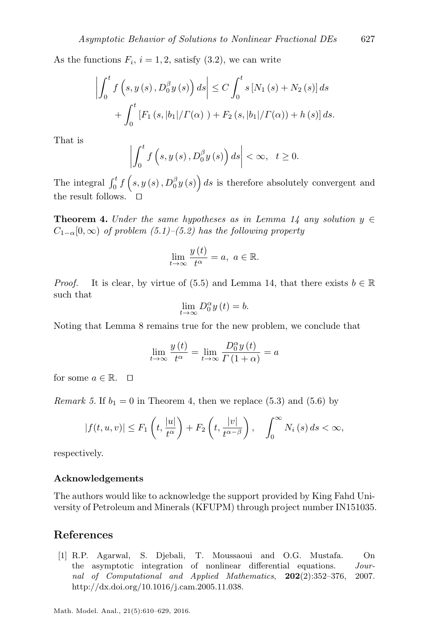As the functions  $F_i$ ,  $i = 1, 2$ , satisfy  $(3.2)$ , we can write

$$
\left| \int_0^t f(s, y(s), D_0^{\beta} y(s)) ds \right| \le C \int_0^t s [N_1(s) + N_2(s)] ds + \int_0^t [F_1(s, |b_1| / \Gamma(\alpha)) + F_2(s, |b_1| / \Gamma(\alpha)) + h(s)] ds.
$$

That is

$$
\left| \int_0^t f\left(s, y\left(s\right), D_0^\beta y\left(s\right)\right) ds \right| < \infty, \quad t \ge 0.
$$

The integral  $\int_0^t f(s, y(s), D_0^{\beta} y(s)) ds$  is therefore absolutely convergent and the result follows.

<span id="page-17-1"></span>**Theorem 4.** Under the same hypotheses as in Lemma [14](#page-15-4) any solution  $y \in$  $C_{1-\alpha}[0,\infty)$  of problem [\(5.1\)](#page-14-1)–[\(5.2\)](#page-14-2) has the following property

$$
\lim_{t \to \infty} \frac{y(t)}{t^{\alpha}} = a, \ a \in \mathbb{R}.
$$

*Proof.* It is clear, by virtue of [\(5.5\)](#page-15-0) and Lemma [14,](#page-15-4) that there exists  $b \in \mathbb{R}$ such that

$$
\lim_{t \to \infty} D_0^{\alpha} y(t) = b.
$$

Noting that Lemma [8](#page-7-4) remains true for the new problem, we conclude that

$$
\lim_{t \to \infty} \frac{y(t)}{t^{\alpha}} = \lim_{t \to \infty} \frac{D_0^{\alpha} y(t)}{\Gamma(1+\alpha)} = a
$$

for some  $a \in \mathbb{R}$ .  $\Box$ 

*Remark 5.* If  $b_1 = 0$  in Theorem [4,](#page-17-1) then we replace [\(5.3\)](#page-14-4) and [\(5.6\)](#page-15-5) by

$$
|f(t, u, v)| \le F_1\left(t, \frac{|u|}{t^{\alpha}}\right) + F_2\left(t, \frac{|v|}{t^{\alpha - \beta}}\right), \quad \int_0^{\infty} N_i(s) ds < \infty,
$$

respectively.

#### Acknowledgements

The authors would like to acknowledge the support provided by King Fahd University of Petroleum and Minerals (KFUPM) through project number IN151035.

#### References

<span id="page-17-0"></span>[1] R.P. Agarwal, S. Djebali, T. Moussaoui and O.G. Mustafa. On the asymptotic integration of nonlinear differential equations. Journal of Computational and Applied Mathematics, 202(2):352–376, 2007. [http://dx.doi.org/10.1016/j.cam.2005.11.038.](http://dx.doi.org/10.1016/j.cam.2005.11.038)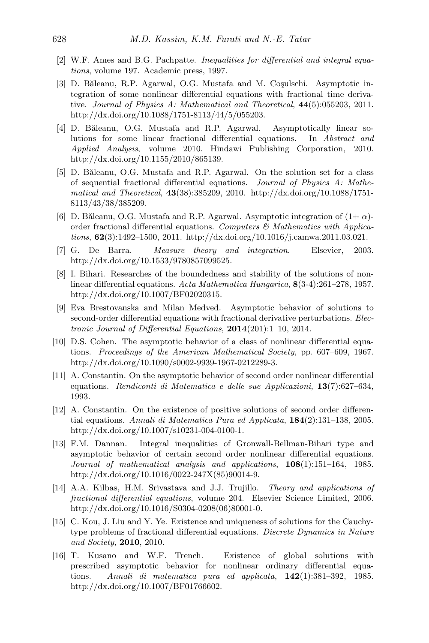- <span id="page-18-11"></span>[2] W.F. Ames and B.G. Pachpatte. Inequalities for differential and integral equations, volume 197. Academic press, 1997.
- <span id="page-18-9"></span>[3] D. Băleanu, R.P. Agarwal, O.G. Mustafa and M. Coşulschi. Asymptotic integration of some nonlinear differential equations with fractional time derivative. Journal of Physics A: Mathematical and Theoretical, 44(5):055203, 2011. [http://dx.doi.org/10.1088/1751-8113/44/5/055203.](http://dx.doi.org/10.1088/1751-8113/44/5/055203)
- <span id="page-18-7"></span>[4] D. Băleanu, O.G. Mustafa and R.P. Agarwal. Asymptotically linear solutions for some linear fractional differential equations. In Abstract and Applied Analysis, volume 2010. Hindawi Publishing Corporation, 2010. [http://dx.doi.org/10.1155/2010/865139.](http://dx.doi.org/10.1155/2010/865139)
- <span id="page-18-6"></span>[5] D. Băleanu, O.G. Mustafa and R.P. Agarwal. On the solution set for a class of sequential fractional differential equations. Journal of Physics A: Mathematical and Theoretical, 43(38):385209, 2010. [http://dx.doi.org/10.1088/1751-](http://dx.doi.org/10.1088/1751-8113/43/38/385209) [8113/43/38/385209.](http://dx.doi.org/10.1088/1751-8113/43/38/385209)
- <span id="page-18-8"></span>[6] D. Băleanu, O.G. Mustafa and R.P. Agarwal. Asymptotic integration of  $(1+\alpha)$ order fractional differential equations. Computers  $\mathcal C$  Mathematics with Applications, 62(3):1492–1500, 2011. [http://dx.doi.org/10.1016/j.camwa.2011.03.021.](http://dx.doi.org/10.1016/j.camwa.2011.03.021)
- <span id="page-18-13"></span>[7] G. De Barra. Measure theory and integration. Elsevier, 2003. [http://dx.doi.org/10.1533/9780857099525.](http://dx.doi.org/10.1533/9780857099525)
- <span id="page-18-14"></span>[8] I. Bihari. Researches of the boundedness and stability of the solutions of nonlinear differential equations. Acta Mathematica Hungarica, 8(3-4):261–278, 1957. [http://dx.doi.org/10.1007/BF02020315.](http://dx.doi.org/10.1007/BF02020315)
- <span id="page-18-10"></span>[9] Eva Brestovanska and Milan Medved. Asymptotic behavior of solutions to second-order differential equations with fractional derivative perturbations. Electronic Journal of Differential Equations, 2014(201):1–10, 2014.
- <span id="page-18-1"></span>[10] D.S. Cohen. The asymptotic behavior of a class of nonlinear differential equations. Proceedings of the American Mathematical Society, pp. 607–609, 1967. [http://dx.doi.org/10.1090/s0002-9939-1967-0212289-3.](http://dx.doi.org/10.1090/s0002-9939-1967-0212289-3)
- <span id="page-18-5"></span>[11] A. Constantin. On the asymptotic behavior of second order nonlinear differential equations. Rendiconti di Matematica e delle sue Applicazioni, 13(7):627–634, 1993.
- <span id="page-18-2"></span>[12] A. Constantin. On the existence of positive solutions of second order differential equations. Annali di Matematica Pura ed Applicata, 184(2):131–138, 2005. [http://dx.doi.org/10.1007/s10231-004-0100-1.](http://dx.doi.org/10.1007/s10231-004-0100-1)
- <span id="page-18-4"></span>[13] F.M. Dannan. Integral inequalities of Gronwall-Bellman-Bihari type and asymptotic behavior of certain second order nonlinear differential equations. Journal of mathematical analysis and applications, 108(1):151–164, 1985. [http://dx.doi.org/10.1016/0022-247X\(85\)90014-9.](http://dx.doi.org/10.1016/0022-247X(85)90014-9)
- <span id="page-18-0"></span>[14] A.A. Kilbas, H.M. Srivastava and J.J. Trujillo. Theory and applications of fractional differential equations, volume 204. Elsevier Science Limited, 2006. [http://dx.doi.org/10.1016/S0304-0208\(06\)80001-0.](http://dx.doi.org/10.1016/S0304-0208(06)80001-0)
- <span id="page-18-12"></span>[15] C. Kou, J. Liu and Y. Ye. Existence and uniqueness of solutions for the Cauchytype problems of fractional differential equations. Discrete Dynamics in Nature and Society, 2010, 2010.
- <span id="page-18-3"></span>[16] T. Kusano and W.F. Trench. Existence of global solutions with prescribed asymptotic behavior for nonlinear ordinary differential equations. Annali di matematica pura ed applicata, 142(1):381–392, 1985. [http://dx.doi.org/10.1007/BF01766602.](http://dx.doi.org/10.1007/BF01766602)